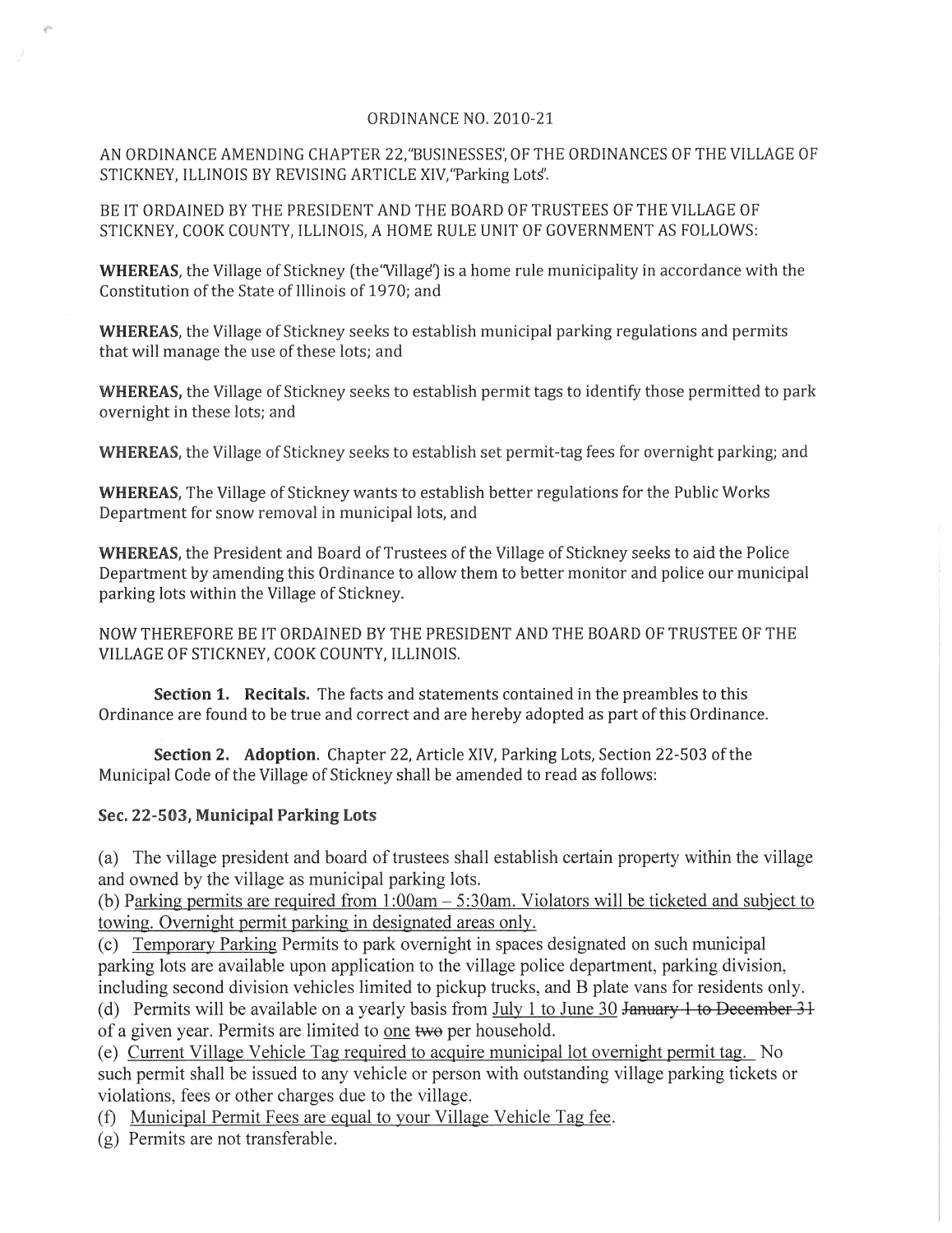## ORDINANCE NO. 2010-21

AN ORDINANCE AMENDING CHAPTER 22,"BUSINESSES', OF THE ORDINANCES OF THE VILLAGE OF STICKNEY, ILLINOIS BY REVISING ARTICLE XIV,"Parking Lots'.

BE IT ORDAINED BY THE PRESIDENT AND THE BOARD OF TRUSTEES OF THE VILLAGE OF STICKNEY, COOK COUNTY, ILLINOIS, A HOME RULE UNIT OF GOVERNMENT AS FOLLOWS:

WHEREAS, the Village of Stickney (the "Village") is a home rule municipality in accordance with the Constitution of the State of Illinois of 1970; and

**WHEREAS,** the Village of Stickney seeks to establish municipal parking regulations and permits that will manage the use of these lots; and

**WHEREAS,** the Village of Stickney seeks to establish permit tags to identify those permitted to park overnight in these lots; and

**WHEREAS,** the Village of Stickney seeks to establish set permit-tag fees for overnight parking; and

**WHEREAS,** The Village of Stickney wants to establish better regulations for the Public Works Department for snow removal in municipal lots, and

**WHEREAS,** the President and Board of Trustees of the Village of Stickney seeks to aid the Police Department by amending this Ordinance to allow them to better monitor and police our municipal parking lots within the Village of Stickney.

NOW THEREFORE BE IT ORDAINED BY THE PRESIDENT AND THE BOARD OF TRUSTEE OF THE VILLAGE OF STICKNEY, COOK COUNTY, ILLINOIS.

**Section 1. Recitals.** The facts and statements contained in the preambles to this Ordinance are found to be true and correct and are hereby adopted as part of this Ordinance.

**Section 2. Adoption.** Chapter 22, Article XIV, Parking Lots, Section 22-503 of the Municipal Code of the Village of Stickney shall be amended to read as follows:

## **Sec. 22-503, Municipal Parking Lots**

(a) The village president and board of trustees shall establish certain property within the village and owned by the village as municipal parking lots.

(b) Parking permits are required from  $1:00$ am  $-5:30$ am. Violators will be ticketed and subject to towing. Overnight permit parking in designated areas only.

(c) Temporary Parking Permits to park overnight in spaces designated on such municipal parking lots are available upon application to the village police department, parking division, including second division vehicles limited to pickup trucks, and B plate vans for residents only.

(d) Permits will be available on a yearly basis from July 1 to June 30 January 1 to December 31 of a given year. Permits are limited to one twe per household.

(e) Current Village Vehicle Tag required to acquire municipal lot overnight permit tag. No such permit shall be issued to any vehicle or person with outstanding village parking tickets or violations, fees or other charges due to the village.

(f) Municipal Permit Fees are equal to your Village Vehicle Tag fee.

(g) Permits are not transferable.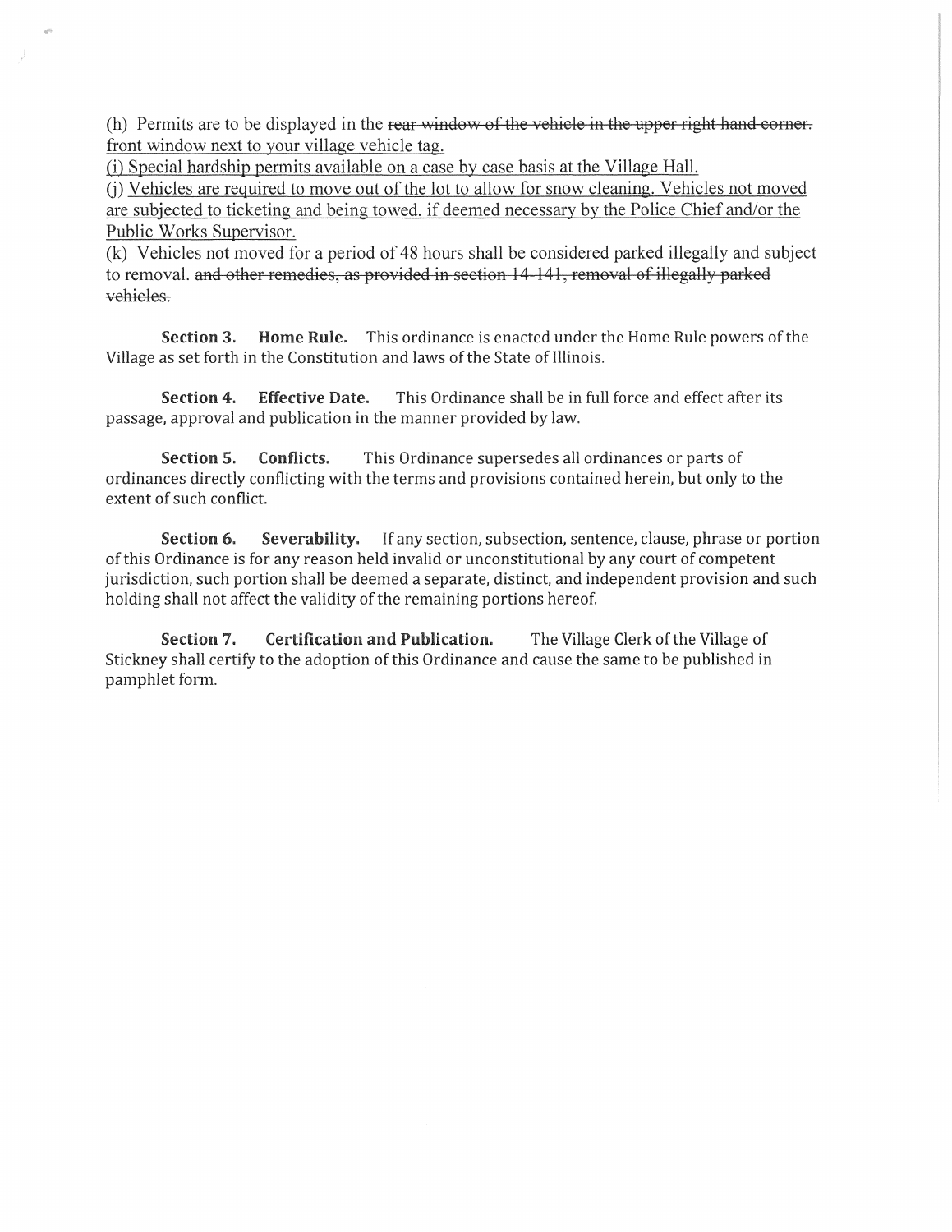(h) Permits are to be displayed in the rear window of the vehicle in the upper right hand corner. front window next to your village vehicle tag.

(i) Special hardship permits available on a case by case basis at the Village Hall.

G) Vehicles are required to move out of the lot to allow for snow cleaning. Vehicles not moved are subjected to ticketing and being towed, if deemed necessary by the Police Chief and/or the Public Works Supervisor.

(k) Vehicles not moved for a period of 48 hours shall be considered parked illegally and subject to removal. and other remedies, as provided in section 14 141, removal of illegally parked vehicles.

Section 3. Home Rule. This ordinance is enacted under the Home Rule powers of the Village as set forth in the Constitution and laws of the State of Illinois.

Section 4. Effective Date. This Ordinance shall be in full force and effect after its passage, approval and publication in the manner provided by law.

Section 5. Conflicts. This Ordinance supersedes all ordinances or parts of ordinances directly conflicting with the terms and provisions contained herein, but only to the extent of such conflict.

Section 6. Severability. If any section, subsection, sentence, clause, phrase or portion of this Ordinance is for any reason held invalid or unconstitutional by any court of competent jurisdiction, such portion shall be deemed a separate, distinct, and independent provision and such holding shall not affect the validity of the remaining portions hereof.

Section 7. Certification and Publication. The Village Clerk of the Village of Stickney shall certify to the adoption of this Ordinance and cause the same to be published in pamphlet form.